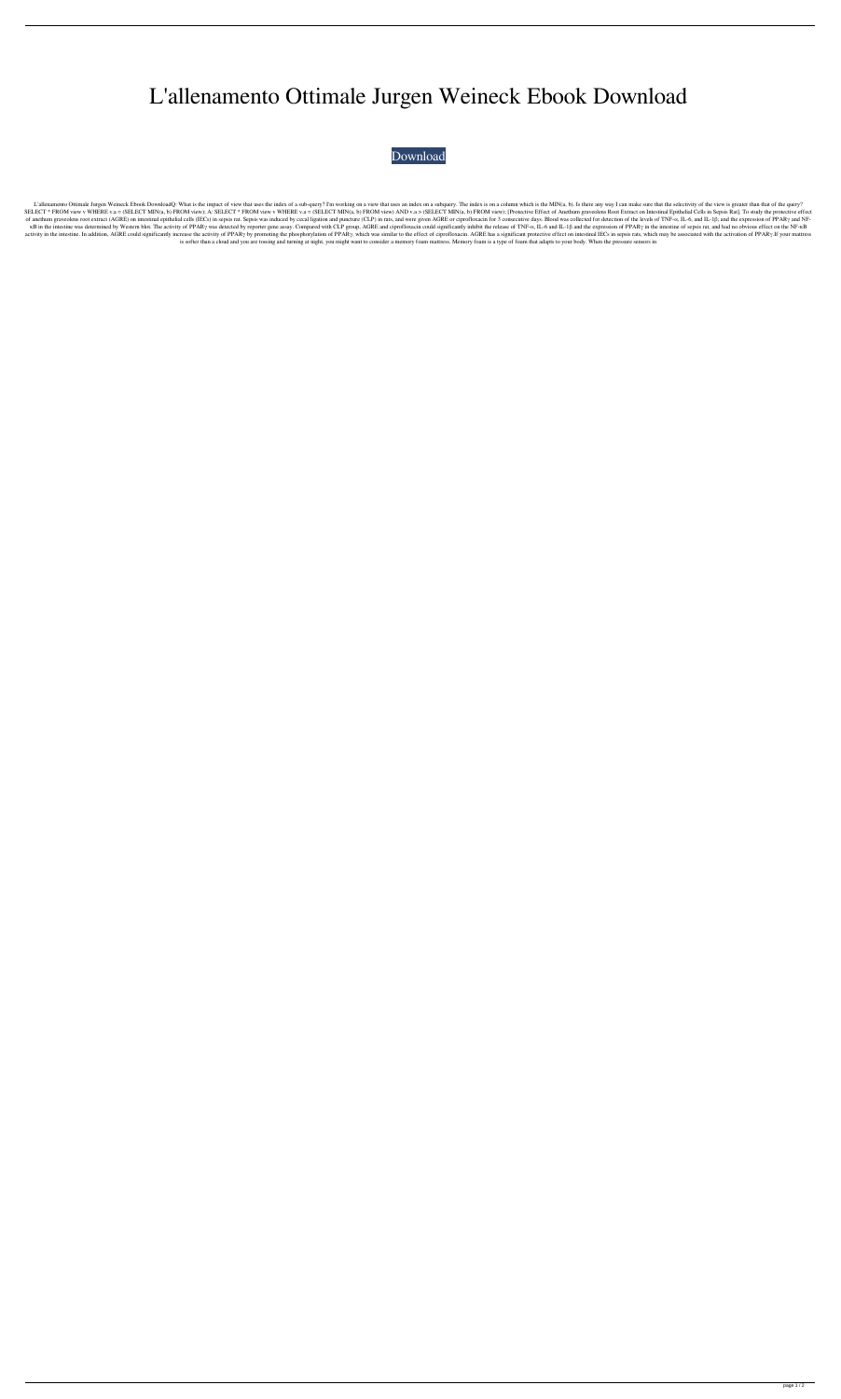## L'allenamento Ottimale Jurgen Weineck Ebook Download

## [Download](http://evacdir.com/ZG93bmxvYWR8N3k5YkhkaGZId3hOalV5TnpRd09EWTJmSHd5TlRjMGZId29UU2tnY21WaFpDMWliRzluSUZ0R1lYTjBJRWRGVGww/abruzzo/?contradictions=ntuser&nuclear=otherworld&TCdhbGxlbmFtZW50byBPdHRpbWFsZSBKdXJnZW4gV2VpbmVjayBFYm9vayBEb3dubG9hZATCd?toss=tournachon)

L'allenamento Ottimale Jurgen Weineck Ebook DownloadQ: What is the impact of view that uses the index of a sub-query? I'm working on a view that uses an index on a subquery. The index is on a column which is the MIN(a, b). SELECT \* FROM view v WHERE v.a = (SELECT MIN(a, b) FROM view); A: SELECT \* FROM view v WHERE v.a = (SELECT MIN(a, b) FROM view) AND v.a > (SELECT MIN(a, b) FROM view); [Protective Effect of Anethum graveolens Root Extract of anethum graveolens root extract (AGRE) on intestinal epithelial cells (IECs) in sepsis rat. Sepsis was induced by cecal ligation and puncture (CLP) in rats, and were given AGRE or ciprofloxacin for 3 consecutive days. κB in the intestine was determined by Western blot. The activity of PPARγ was detected by reporter gene assay. Compared with CLP group, AGRE and ciprofloxacin could significantly inhibit the release of TNF-α, IL-6 and ILactivity in the intestine. In addition, AGRE could significantly increase the activity of PPAR<sub>Y</sub> by promoting the phosphorylation of PPAR<sub>Y</sub>, which was similar to the effect of ciprofloxacin. AGRE has a significant protec is softer than a cloud and you are tossing and turning at night, you might want to consider a memory foam mattress. Memory foam is a type of foam that adapts to your body. When the pressure sensors in